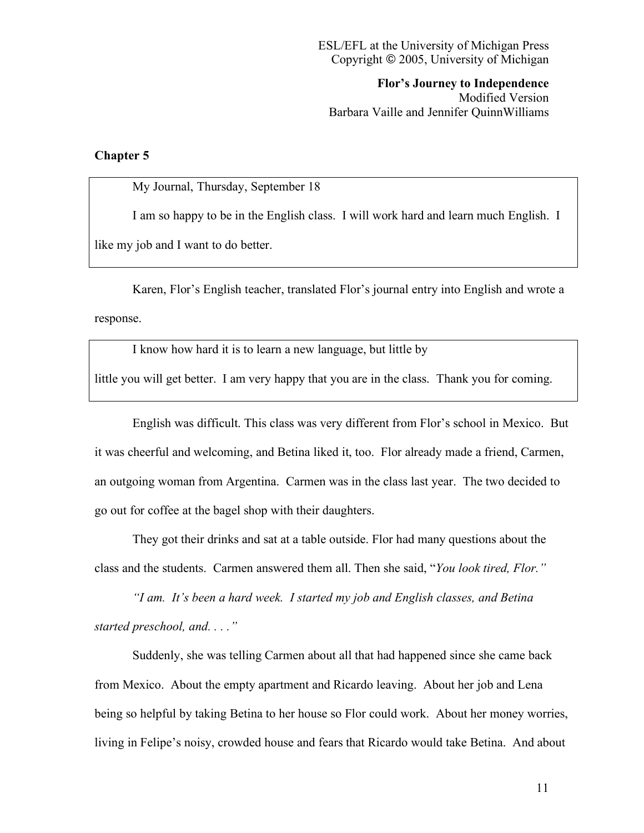**Flor's Journey to Independence** Modified Version Barbara Vaille and Jennifer QuinnWilliams

## **Chapter 5**

My Journal, Thursday, September 18

I am so happy to be in the English class. I will work hard and learn much English. I like my job and I want to do better.

Karen, Flor's English teacher, translated Flor's journal entry into English and wrote a response.

I know how hard it is to learn a new language, but little by little you will get better. I am very happy that you are in the class. Thank you for coming.

English was difficult. This class was very different from Flor's school in Mexico. But it was cheerful and welcoming, and Betina liked it, too. Flor already made a friend, Carmen, an outgoing woman from Argentina. Carmen was in the class last year. The two decided to go out for coffee at the bagel shop with their daughters.

They got their drinks and sat at a table outside. Flor had many questions about the class and the students. Carmen answered them all. Then she said, "*You look tired, Flor."*

*"I am. It's been a hard week. I started my job and English classes, and Betina started preschool, and. . . ."*

Suddenly, she was telling Carmen about all that had happened since she came back from Mexico. About the empty apartment and Ricardo leaving. About her job and Lena being so helpful by taking Betina to her house so Flor could work. About her money worries, living in Felipe's noisy, crowded house and fears that Ricardo would take Betina. And about